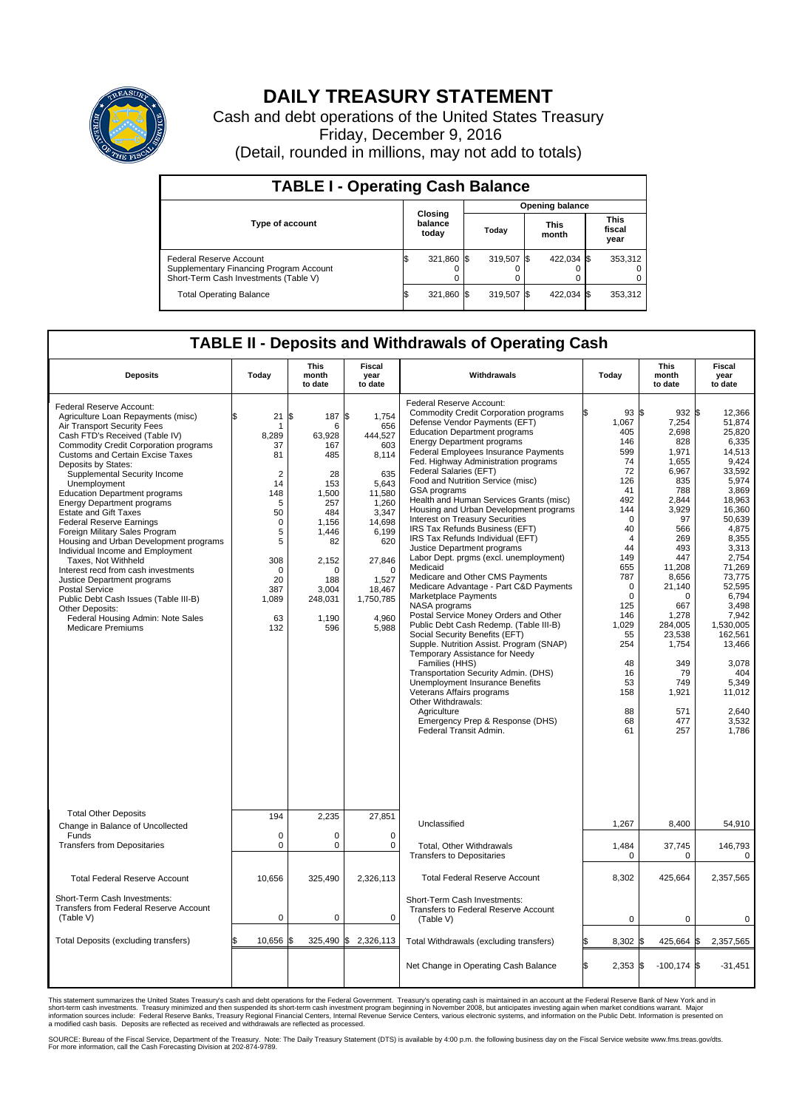

## **DAILY TREASURY STATEMENT**

Cash and debt operations of the United States Treasury Friday, December 9, 2016 (Detail, rounded in millions, may not add to totals)

| <b>TABLE I - Operating Cash Balance</b>                                                                     |  |                             |  |                        |  |                      |  |                               |  |
|-------------------------------------------------------------------------------------------------------------|--|-----------------------------|--|------------------------|--|----------------------|--|-------------------------------|--|
|                                                                                                             |  |                             |  | <b>Opening balance</b> |  |                      |  |                               |  |
| <b>Type of account</b>                                                                                      |  | Closing<br>balance<br>today |  | Today                  |  | <b>This</b><br>month |  | <b>This</b><br>fiscal<br>year |  |
| Federal Reserve Account<br>Supplementary Financing Program Account<br>Short-Term Cash Investments (Table V) |  | 321,860                     |  | 319.507 \$             |  | 422,034 \$           |  | 353,312                       |  |
| <b>Total Operating Balance</b>                                                                              |  | 321,860 \$                  |  | 319,507 \$             |  | 422,034 \$           |  | 353,312                       |  |

## **TABLE II - Deposits and Withdrawals of Operating Cash**

| <b>Deposits</b>                                                                                                                                                                                                                                                                                                                                                                                                                                                                                                                                                                                                                                                                                                                                                                                               | Today                                                                                                                                                        | <b>This</b><br>month<br>to date                                                                                                                             | <b>Fiscal</b><br>year<br>to date                                                                                                                                                            | Withdrawals                                                                                                                                                                                                                                                                                                                                                                                                                                                                                                                                                                                                                                                                                                                                                                                                                                                                                                                                                                                                                                                                                                                                                                                          | Today                                                                                                                                                                                                                                                  | <b>This</b><br>month<br>to date                                                                                                                                                                                                                                         | Fiscal<br>year<br>to date                                                                                                                                                                                                                                                                                     |
|---------------------------------------------------------------------------------------------------------------------------------------------------------------------------------------------------------------------------------------------------------------------------------------------------------------------------------------------------------------------------------------------------------------------------------------------------------------------------------------------------------------------------------------------------------------------------------------------------------------------------------------------------------------------------------------------------------------------------------------------------------------------------------------------------------------|--------------------------------------------------------------------------------------------------------------------------------------------------------------|-------------------------------------------------------------------------------------------------------------------------------------------------------------|---------------------------------------------------------------------------------------------------------------------------------------------------------------------------------------------|------------------------------------------------------------------------------------------------------------------------------------------------------------------------------------------------------------------------------------------------------------------------------------------------------------------------------------------------------------------------------------------------------------------------------------------------------------------------------------------------------------------------------------------------------------------------------------------------------------------------------------------------------------------------------------------------------------------------------------------------------------------------------------------------------------------------------------------------------------------------------------------------------------------------------------------------------------------------------------------------------------------------------------------------------------------------------------------------------------------------------------------------------------------------------------------------------|--------------------------------------------------------------------------------------------------------------------------------------------------------------------------------------------------------------------------------------------------------|-------------------------------------------------------------------------------------------------------------------------------------------------------------------------------------------------------------------------------------------------------------------------|---------------------------------------------------------------------------------------------------------------------------------------------------------------------------------------------------------------------------------------------------------------------------------------------------------------|
| Federal Reserve Account:<br>Agriculture Loan Repayments (misc)<br>Air Transport Security Fees<br>Cash FTD's Received (Table IV)<br><b>Commodity Credit Corporation programs</b><br><b>Customs and Certain Excise Taxes</b><br>Deposits by States:<br>Supplemental Security Income<br>Unemployment<br><b>Education Department programs</b><br><b>Energy Department programs</b><br><b>Estate and Gift Taxes</b><br><b>Federal Reserve Earnings</b><br>Foreign Military Sales Program<br>Housing and Urban Development programs<br>Individual Income and Employment<br>Taxes, Not Withheld<br>Interest recd from cash investments<br>Justice Department programs<br><b>Postal Service</b><br>Public Debt Cash Issues (Table III-B)<br>Other Deposits:<br>Federal Housing Admin: Note Sales<br>Medicare Premiums | \$<br>21<br>-1<br>8,289<br>37<br>81<br>$\overline{2}$<br>14<br>148<br>5<br>50<br>$\mathbf 0$<br>5<br>5<br>308<br>$\Omega$<br>20<br>387<br>1,089<br>63<br>132 | 187<br>\$<br>6<br>63,928<br>167<br>485<br>28<br>153<br>1,500<br>257<br>484<br>1,156<br>1.446<br>82<br>2,152<br>O<br>188<br>3,004<br>248,031<br>1,190<br>596 | \$<br>1,754<br>656<br>444,527<br>603<br>8,114<br>635<br>5,643<br>11,580<br>1,260<br>3,347<br>14,698<br>6,199<br>620<br>27,846<br>$\Omega$<br>1,527<br>18,467<br>1,750,785<br>4,960<br>5,988 | Federal Reserve Account:<br><b>Commodity Credit Corporation programs</b><br>Defense Vendor Payments (EFT)<br><b>Education Department programs</b><br><b>Energy Department programs</b><br><b>Federal Employees Insurance Payments</b><br>Fed. Highway Administration programs<br>Federal Salaries (EFT)<br>Food and Nutrition Service (misc)<br>GSA programs<br>Health and Human Services Grants (misc)<br>Housing and Urban Development programs<br>Interest on Treasury Securities<br>IRS Tax Refunds Business (EFT)<br>IRS Tax Refunds Individual (EFT)<br>Justice Department programs<br>Labor Dept. prgms (excl. unemployment)<br>Medicaid<br>Medicare and Other CMS Payments<br>Medicare Advantage - Part C&D Payments<br>Marketplace Payments<br>NASA programs<br>Postal Service Money Orders and Other<br>Public Debt Cash Redemp. (Table III-B)<br>Social Security Benefits (EFT)<br>Supple. Nutrition Assist. Program (SNAP)<br>Temporary Assistance for Needy<br>Families (HHS)<br>Transportation Security Admin. (DHS)<br>Unemployment Insurance Benefits<br>Veterans Affairs programs<br>Other Withdrawals:<br>Agriculture<br>Emergency Prep & Response (DHS)<br>Federal Transit Admin. | 93 \$<br>1,067<br>405<br>146<br>599<br>74<br>72<br>126<br>41<br>492<br>144<br>$\Omega$<br>40<br>$\overline{4}$<br>44<br>149<br>655<br>787<br>$\mathbf 0$<br>$\mathbf 0$<br>125<br>146<br>1,029<br>55<br>254<br>48<br>16<br>53<br>158<br>88<br>68<br>61 | $932$ \$<br>7,254<br>2,698<br>828<br>1.971<br>1,655<br>6,967<br>835<br>788<br>2,844<br>3,929<br>97<br>566<br>269<br>493<br>447<br>11,208<br>8,656<br>21,140<br>$\Omega$<br>667<br>1,278<br>284,005<br>23,538<br>1,754<br>349<br>79<br>749<br>1,921<br>571<br>477<br>257 | 12.366<br>51.874<br>25.820<br>6,335<br>14.513<br>9,424<br>33.592<br>5,974<br>3.869<br>18,963<br>16,360<br>50.639<br>4,875<br>8.355<br>3,313<br>2,754<br>71,269<br>73,775<br>52.595<br>6,794<br>3.498<br>7,942<br>1,530,005<br>162,561<br>13,466<br>3,078<br>404<br>5,349<br>11,012<br>2.640<br>3.532<br>1,786 |
| <b>Total Other Deposits</b><br>Change in Balance of Uncollected                                                                                                                                                                                                                                                                                                                                                                                                                                                                                                                                                                                                                                                                                                                                               | 194                                                                                                                                                          | 2,235                                                                                                                                                       | 27,851                                                                                                                                                                                      | Unclassified                                                                                                                                                                                                                                                                                                                                                                                                                                                                                                                                                                                                                                                                                                                                                                                                                                                                                                                                                                                                                                                                                                                                                                                         | 1,267                                                                                                                                                                                                                                                  | 8,400                                                                                                                                                                                                                                                                   | 54,910                                                                                                                                                                                                                                                                                                        |
| Funds<br><b>Transfers from Depositaries</b>                                                                                                                                                                                                                                                                                                                                                                                                                                                                                                                                                                                                                                                                                                                                                                   | $\mathbf 0$<br>$\mathbf 0$                                                                                                                                   | 0<br>0                                                                                                                                                      | $\mathbf 0$<br>$\mathbf 0$                                                                                                                                                                  | Total, Other Withdrawals<br><b>Transfers to Depositaries</b>                                                                                                                                                                                                                                                                                                                                                                                                                                                                                                                                                                                                                                                                                                                                                                                                                                                                                                                                                                                                                                                                                                                                         | 1,484<br>$\Omega$                                                                                                                                                                                                                                      | 37,745<br>$\Omega$                                                                                                                                                                                                                                                      | 146,793<br>$\Omega$                                                                                                                                                                                                                                                                                           |
| <b>Total Federal Reserve Account</b>                                                                                                                                                                                                                                                                                                                                                                                                                                                                                                                                                                                                                                                                                                                                                                          | 10.656                                                                                                                                                       | 325.490                                                                                                                                                     | 2.326.113                                                                                                                                                                                   | <b>Total Federal Reserve Account</b>                                                                                                                                                                                                                                                                                                                                                                                                                                                                                                                                                                                                                                                                                                                                                                                                                                                                                                                                                                                                                                                                                                                                                                 | 8,302                                                                                                                                                                                                                                                  | 425,664                                                                                                                                                                                                                                                                 | 2,357,565                                                                                                                                                                                                                                                                                                     |
| Short-Term Cash Investments:<br><b>Transfers from Federal Reserve Account</b><br>(Table V)                                                                                                                                                                                                                                                                                                                                                                                                                                                                                                                                                                                                                                                                                                                    | $\mathbf 0$                                                                                                                                                  | 0                                                                                                                                                           | $\mathbf 0$                                                                                                                                                                                 | Short-Term Cash Investments:<br>Transfers to Federal Reserve Account<br>(Table V)                                                                                                                                                                                                                                                                                                                                                                                                                                                                                                                                                                                                                                                                                                                                                                                                                                                                                                                                                                                                                                                                                                                    | $\mathbf 0$                                                                                                                                                                                                                                            | 0                                                                                                                                                                                                                                                                       | 0                                                                                                                                                                                                                                                                                                             |
| Total Deposits (excluding transfers)                                                                                                                                                                                                                                                                                                                                                                                                                                                                                                                                                                                                                                                                                                                                                                          | 10,656                                                                                                                                                       | 325,490                                                                                                                                                     | \$<br>2,326,113                                                                                                                                                                             | Total Withdrawals (excluding transfers)                                                                                                                                                                                                                                                                                                                                                                                                                                                                                                                                                                                                                                                                                                                                                                                                                                                                                                                                                                                                                                                                                                                                                              | 8,302                                                                                                                                                                                                                                                  | 425,664 \$                                                                                                                                                                                                                                                              | 2,357,565                                                                                                                                                                                                                                                                                                     |
|                                                                                                                                                                                                                                                                                                                                                                                                                                                                                                                                                                                                                                                                                                                                                                                                               |                                                                                                                                                              |                                                                                                                                                             |                                                                                                                                                                                             | Net Change in Operating Cash Balance                                                                                                                                                                                                                                                                                                                                                                                                                                                                                                                                                                                                                                                                                                                                                                                                                                                                                                                                                                                                                                                                                                                                                                 | Ŝ.<br>$2,353$ \$                                                                                                                                                                                                                                       | $-100, 174$ \$                                                                                                                                                                                                                                                          | $-31,451$                                                                                                                                                                                                                                                                                                     |

This statement summarizes the United States Treasury's cash and debt operations for the Federal Government. Treasury's operating cash is maintained in an account at the Federal Reserve Bank of New York and in<br>short-term ca

SOURCE: Bureau of the Fiscal Service, Department of the Treasury. Note: The Daily Treasury Statement (DTS) is available by 4:00 p.m. the following business day on the Fiscal Service website www.fms.treas.gov/dts.<br>For more